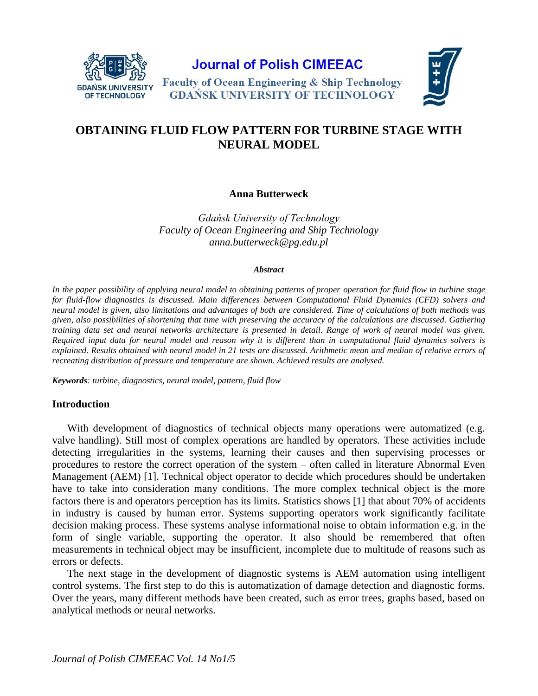

**Journal of Polish CIMEEAC** 





# **OBTAINING FLUID FLOW PATTERN FOR TURBINE STAGE WITH NEURAL MODEL**

## **Anna Butterweck**

*Gdańsk University of Technology Faculty of Ocean Engineering and Ship Technology anna.butterweck@pg.edu.pl*

#### *Abstract*

*In the paper possibility of applying neural model to obtaining patterns of proper operation for fluid flow in turbine stage for fluid-flow diagnostics is discussed. Main differences between Computational Fluid Dynamics (CFD) solvers and neural model is given, also limitations and advantages of both are considered. Time of calculations of both methods was given, also possibilities of shortening that time with preserving the accuracy of the calculations are discussed. Gathering training data set and neural networks architecture is presented in detail. Range of work of neural model was given. Required input data for neural model and reason why it is different than in computational fluid dynamics solvers is explained. Results obtained with neural model in 21 tests are discussed. Arithmetic mean and median of relative errors of recreating distribution of pressure and temperature are shown. Achieved results are analysed.*

*Keywords: turbine, diagnostics, neural model, pattern, fluid flow*

### **Introduction**

With development of diagnostics of technical objects many operations were automatized (e.g. valve handling). Still most of complex operations are handled by operators. These activities include detecting irregularities in the systems, learning their causes and then supervising processes or procedures to restore the correct operation of the system – often called in literature Abnormal Even Management (AEM) [1]. Technical object operator to decide which procedures should be undertaken have to take into consideration many conditions. The more complex technical object is the more factors there is and operators perception has its limits. Statistics shows [1] that about 70% of accidents in industry is caused by human error. Systems supporting operators work significantly facilitate decision making process. These systems analyse informational noise to obtain information e.g. in the form of single variable, supporting the operator. It also should be remembered that often measurements in technical object may be insufficient, incomplete due to multitude of reasons such as errors or defects.

The next stage in the development of diagnostic systems is AEM automation using intelligent control systems. The first step to do this is automatization of damage detection and diagnostic forms. Over the years, many different methods have been created, such as error trees, graphs based, based on analytical methods or neural networks.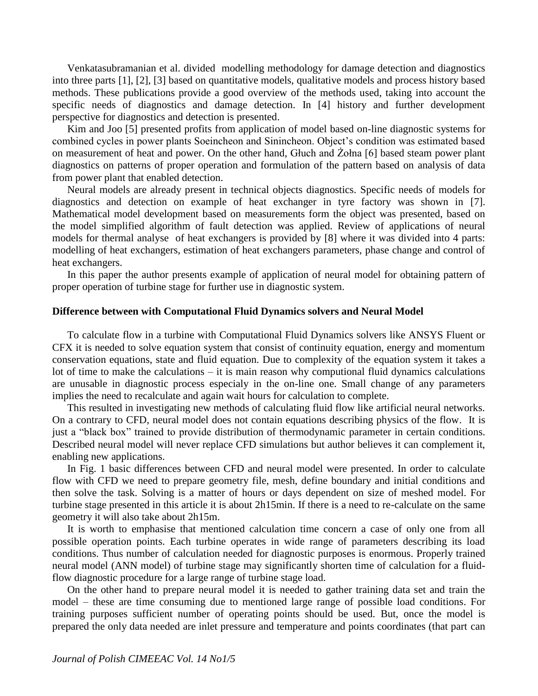Venkatasubramanian et al. divided modelling methodology for damage detection and diagnostics into three parts [1], [2], [3] based on quantitative models, qualitative models and process history based methods. These publications provide a good overview of the methods used, taking into account the specific needs of diagnostics and damage detection. In [4] history and further development perspective for diagnostics and detection is presented.

Kim and Joo [5] presented profits from application of model based on-line diagnostic systems for combined cycles in power plants Soeincheon and Sinincheon. Object's condition was estimated based on measurement of heat and power. On the other hand, Głuch and Żołna [6] based steam power plant diagnostics on patterns of proper operation and formulation of the pattern based on analysis of data from power plant that enabled detection.

Neural models are already present in technical objects diagnostics. Specific needs of models for diagnostics and detection on example of heat exchanger in tyre factory was shown in [7]. Mathematical model development based on measurements form the object was presented, based on the model simplified algorithm of fault detection was applied. Review of applications of neural models for thermal analyse of heat exchangers is provided by [8] where it was divided into 4 parts: modelling of heat exchangers, estimation of heat exchangers parameters, phase change and control of heat exchangers.

In this paper the author presents example of application of neural model for obtaining pattern of proper operation of turbine stage for further use in diagnostic system.

#### **Difference between with Computational Fluid Dynamics solvers and Neural Model**

To calculate flow in a turbine with Computational Fluid Dynamics solvers like ANSYS Fluent or CFX it is needed to solve equation system that consist of continuity equation, energy and momentum conservation equations, state and fluid equation. Due to complexity of the equation system it takes a lot of time to make the calculations – it is main reason why computional fluid dynamics calculations are unusable in diagnostic process especialy in the on-line one. Small change of any parameters implies the need to recalculate and again wait hours for calculation to complete.

This resulted in investigating new methods of calculating fluid flow like artificial neural networks. On a contrary to CFD, neural model does not contain equations describing physics of the flow. It is just a "black box" trained to provide distribution of thermodynamic parameter in certain conditions. Described neural model will never replace CFD simulations but author believes it can complement it, enabling new applications.

In Fig. 1 basic differences between CFD and neural model were presented. In order to calculate flow with CFD we need to prepare geometry file, mesh, define boundary and initial conditions and then solve the task. Solving is a matter of hours or days dependent on size of meshed model. For turbine stage presented in this article it is about 2h15min. If there is a need to re-calculate on the same geometry it will also take about 2h15m.

It is worth to emphasise that mentioned calculation time concern a case of only one from all possible operation points. Each turbine operates in wide range of parameters describing its load conditions. Thus number of calculation needed for diagnostic purposes is enormous. Properly trained neural model (ANN model) of turbine stage may significantly shorten time of calculation for a fluidflow diagnostic procedure for a large range of turbine stage load.

On the other hand to prepare neural model it is needed to gather training data set and train the model – these are time consuming due to mentioned large range of possible load conditions. For training purposes sufficient number of operating points should be used. But, once the model is prepared the only data needed are inlet pressure and temperature and points coordinates (that part can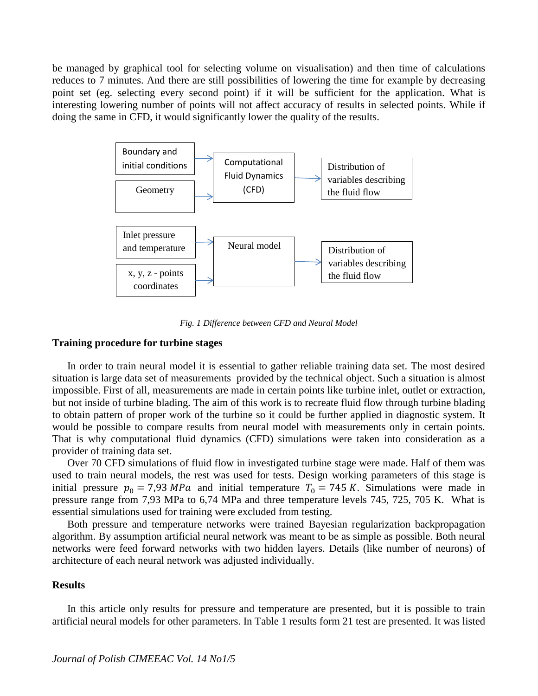be managed by graphical tool for selecting volume on visualisation) and then time of calculations reduces to 7 minutes. And there are still possibilities of lowering the time for example by decreasing point set (eg. selecting every second point) if it will be sufficient for the application. What is interesting lowering number of points will not affect accuracy of results in selected points. While if doing the same in CFD, it would significantly lower the quality of the results.



*Fig. 1 Difference between CFD and Neural Model*

### **Training procedure for turbine stages**

In order to train neural model it is essential to gather reliable training data set. The most desired situation is large data set of measurements provided by the technical object. Such a situation is almost impossible. First of all, measurements are made in certain points like turbine inlet, outlet or extraction, but not inside of turbine blading. The aim of this work is to recreate fluid flow through turbine blading to obtain pattern of proper work of the turbine so it could be further applied in diagnostic system. It would be possible to compare results from neural model with measurements only in certain points. That is why computational fluid dynamics (CFD) simulations were taken into consideration as a provider of training data set.

Over 70 CFD simulations of fluid flow in investigated turbine stage were made. Half of them was used to train neural models, the rest was used for tests. Design working parameters of this stage is initial pressure  $p_0 = 7.93 MPa$  and initial temperature  $T_0 = 745 K$ . Simulations were made in pressure range from 7,93 MPa to 6,74 MPa and three temperature levels 745, 725, 705 K. What is essential simulations used for training were excluded from testing.

Both pressure and temperature networks were trained Bayesian regularization backpropagation algorithm. By assumption artificial neural network was meant to be as simple as possible. Both neural networks were feed forward networks with two hidden layers. Details (like number of neurons) of architecture of each neural network was adjusted individually.

#### **Results**

In this article only results for pressure and temperature are presented, but it is possible to train artificial neural models for other parameters. In Table 1 results form 21 test are presented. It was listed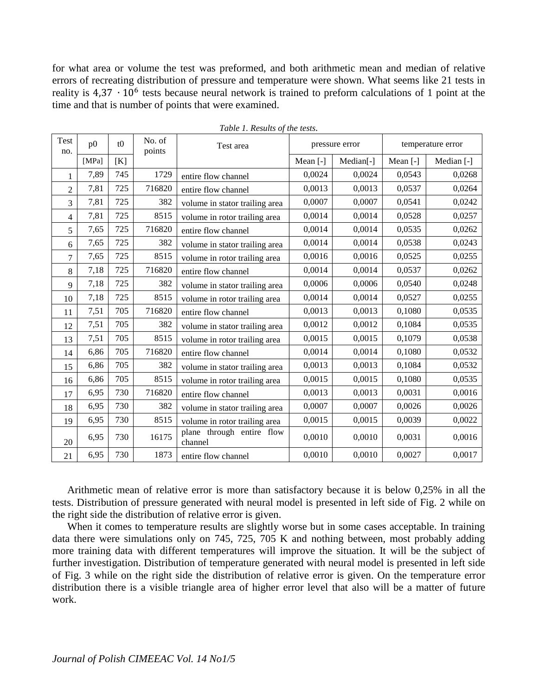for what area or volume the test was preformed, and both arithmetic mean and median of relative errors of recreating distribution of pressure and temperature were shown. What seems like 21 tests in reality is 4,37 ⋅ 10<sup>6</sup> tests because neural network is trained to preform calculations of 1 point at the time and that is number of points that were examined.

| Test<br>no.    | p <sub>0</sub> | t0  | No. of<br>points | Test area                            | pressure error |           | temperature error |            |
|----------------|----------------|-----|------------------|--------------------------------------|----------------|-----------|-------------------|------------|
|                | [MPa]          | [K] |                  |                                      | Mean $[-]$     | Median[-] | Mean $[-]$        | Median [-] |
|                | 7,89           | 745 | 1729             | entire flow channel                  | 0,0024         | 0,0024    | 0,0543            | 0,0268     |
| $\overline{2}$ | 7,81           | 725 | 716820           | entire flow channel                  | 0,0013         | 0,0013    | 0,0537            | 0,0264     |
| 3              | 7,81           | 725 | 382              | volume in stator trailing area       | 0,0007         | 0,0007    | 0,0541            | 0,0242     |
| 4              | 7,81           | 725 | 8515             | volume in rotor trailing area        | 0,0014         | 0,0014    | 0,0528            | 0,0257     |
| 5              | 7,65           | 725 | 716820           | entire flow channel                  | 0,0014         | 0,0014    | 0,0535            | 0,0262     |
| 6              | 7,65           | 725 | 382              | volume in stator trailing area       | 0,0014         | 0,0014    | 0,0538            | 0,0243     |
| 7              | 7,65           | 725 | 8515             | volume in rotor trailing area        | 0,0016         | 0,0016    | 0,0525            | 0,0255     |
| 8              | 7,18           | 725 | 716820           | entire flow channel                  | 0,0014         | 0,0014    | 0,0537            | 0,0262     |
| 9              | 7,18           | 725 | 382              | volume in stator trailing area       | 0,0006         | 0,0006    | 0,0540            | 0,0248     |
| 10             | 7,18           | 725 | 8515             | volume in rotor trailing area        | 0,0014         | 0,0014    | 0,0527            | 0,0255     |
| 11             | 7,51           | 705 | 716820           | entire flow channel                  | 0,0013         | 0,0013    | 0,1080            | 0,0535     |
| 12             | 7,51           | 705 | 382              | volume in stator trailing area       | 0,0012         | 0,0012    | 0,1084            | 0,0535     |
| 13             | 7,51           | 705 | 8515             | volume in rotor trailing area        | 0,0015         | 0,0015    | 0,1079            | 0,0538     |
| 14             | 6,86           | 705 | 716820           | entire flow channel                  | 0,0014         | 0,0014    | 0,1080            | 0,0532     |
| 15             | 6,86           | 705 | 382              | volume in stator trailing area       | 0,0013         | 0,0013    | 0,1084            | 0,0532     |
| 16             | 6,86           | 705 | 8515             | volume in rotor trailing area        | 0,0015         | 0,0015    | 0,1080            | 0,0535     |
| 17             | 6,95           | 730 | 716820           | entire flow channel                  | 0,0013         | 0,0013    | 0,0031            | 0,0016     |
| 18             | 6,95           | 730 | 382              | volume in stator trailing area       | 0,0007         | 0,0007    | 0,0026            | 0,0026     |
| 19             | 6,95           | 730 | 8515             | volume in rotor trailing area        | 0,0015         | 0,0015    | 0,0039            | 0,0022     |
| 20             | 6,95           | 730 | 16175            | plane through entire flow<br>channel | 0,0010         | 0,0010    | 0,0031            | 0,0016     |
| 21             | 6,95           | 730 | 1873             | entire flow channel                  | 0,0010         | 0,0010    | 0,0027            | 0,0017     |

*Table 1. Results of the tests.*

Arithmetic mean of relative error is more than satisfactory because it is below 0,25% in all the tests. Distribution of pressure generated with neural model is presented in left side of Fig. 2 while on the right side the distribution of relative error is given.

When it comes to temperature results are slightly worse but in some cases acceptable. In training data there were simulations only on 745, 725, 705 K and nothing between, most probably adding more training data with different temperatures will improve the situation. It will be the subject of further investigation. Distribution of temperature generated with neural model is presented in left side of Fig. 3 while on the right side the distribution of relative error is given. On the temperature error distribution there is a visible triangle area of higher error level that also will be a matter of future work.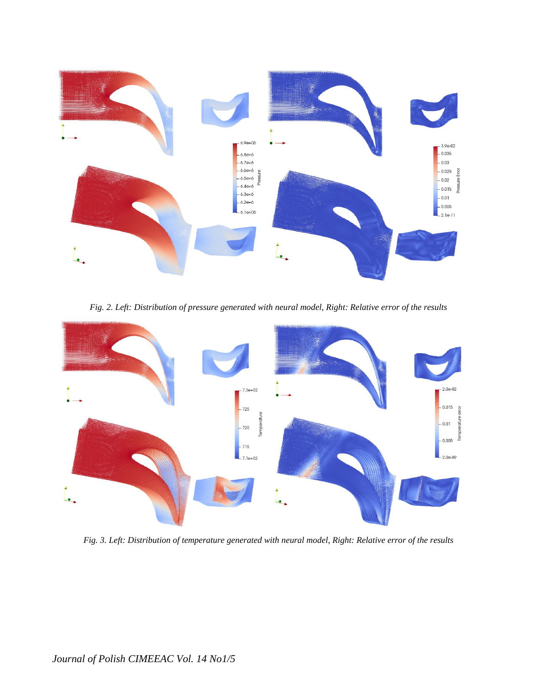

*Fig. 2. Left: Distribution of pressure generated with neural model, Right: Relative error of the results*



*Fig. 3. Left: Distribution of temperature generated with neural model, Right: Relative error of the results*